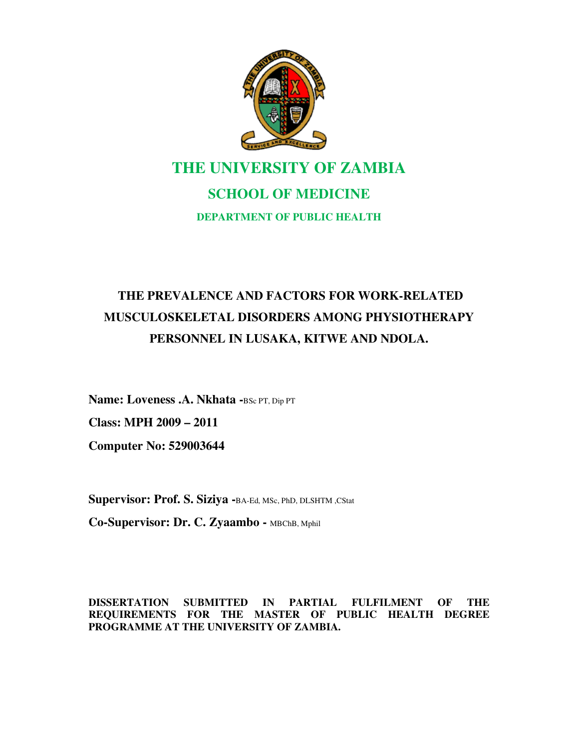

# **THE UNIVERSITY OF ZAMBIA SCHOOL OF MEDICINE DEPARTMENT OF PUBLIC HEALTH**

## **THE PREVALENCE AND FACTORS FOR WORK-RELATED MUSCULOSKELETAL DISORDERS AMONG PHYSIOTHERAPY PERSONNEL IN LUSAKA, KITWE AND NDOLA.**

**Name: Loveness .A. Nkhata -**BSc PT, Dip PT **Class: MPH 2009 – 2011 Computer No: 529003644** 

**Supervisor: Prof. S. Siziya -**BA-Ed, MSc, PhD, DLSHTM ,CStat

**Co-Supervisor: Dr. C. Zyaambo -** MBChB, Mphil

**DISSERTATION SUBMITTED IN PARTIAL FULFILMENT OF THE REQUIREMENTS FOR THE MASTER OF PUBLIC HEALTH DEGREE PROGRAMME AT THE UNIVERSITY OF ZAMBIA.**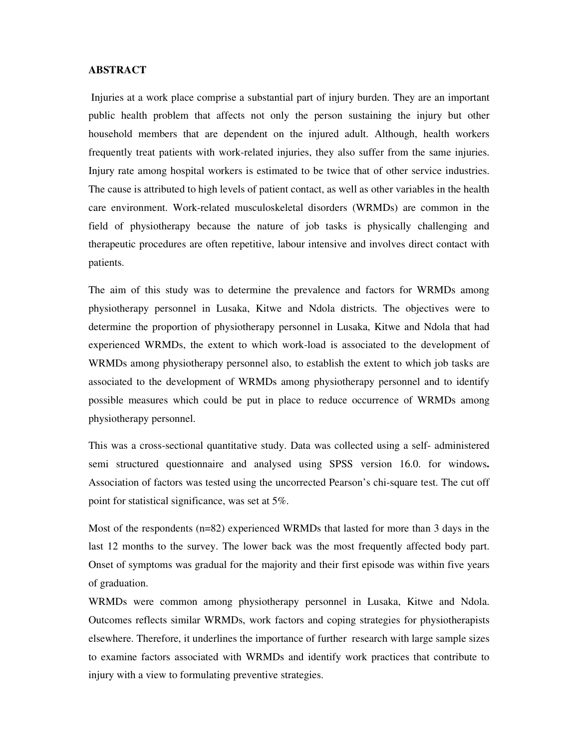#### **ABSTRACT**

Injuries at a work place comprise a substantial part of injury burden. They are an important public health problem that affects not only the person sustaining the injury but other household members that are dependent on the injured adult. Although, health workers frequently treat patients with work-related injuries, they also suffer from the same injuries. Injury rate among hospital workers is estimated to be twice that of other service industries. The cause is attributed to high levels of patient contact, as well as other variables in the health care environment. Work-related musculoskeletal disorders (WRMDs) are common in the field of physiotherapy because the nature of job tasks is physically challenging and therapeutic procedures are often repetitive, labour intensive and involves direct contact with patients.

The aim of this study was to determine the prevalence and factors for WRMDs among physiotherapy personnel in Lusaka, Kitwe and Ndola districts. The objectives were to determine the proportion of physiotherapy personnel in Lusaka, Kitwe and Ndola that had experienced WRMDs, the extent to which work-load is associated to the development of WRMDs among physiotherapy personnel also, to establish the extent to which job tasks are associated to the development of WRMDs among physiotherapy personnel and to identify possible measures which could be put in place to reduce occurrence of WRMDs among physiotherapy personnel.

This was a cross-sectional quantitative study. Data was collected using a self- administered semi structured questionnaire and analysed using SPSS version 16.0. for windows**.**  Association of factors was tested using the uncorrected Pearson's chi-square test. The cut off point for statistical significance, was set at 5%.

Most of the respondents (n=82) experienced WRMDs that lasted for more than 3 days in the last 12 months to the survey. The lower back was the most frequently affected body part. Onset of symptoms was gradual for the majority and their first episode was within five years of graduation.

WRMDs were common among physiotherapy personnel in Lusaka, Kitwe and Ndola. Outcomes reflects similar WRMDs, work factors and coping strategies for physiotherapists elsewhere. Therefore, it underlines the importance of further research with large sample sizes to examine factors associated with WRMDs and identify work practices that contribute to injury with a view to formulating preventive strategies.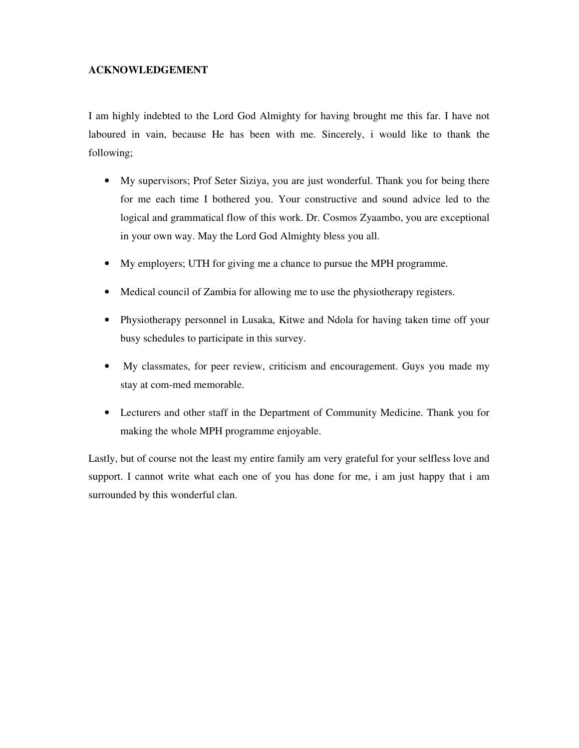#### **ACKNOWLEDGEMENT**

I am highly indebted to the Lord God Almighty for having brought me this far. I have not laboured in vain, because He has been with me. Sincerely, i would like to thank the following;

- My supervisors; Prof Seter Siziya, you are just wonderful. Thank you for being there for me each time I bothered you. Your constructive and sound advice led to the logical and grammatical flow of this work. Dr. Cosmos Zyaambo, you are exceptional in your own way. May the Lord God Almighty bless you all.
- My employers; UTH for giving me a chance to pursue the MPH programme.
- Medical council of Zambia for allowing me to use the physiotherapy registers.
- Physiotherapy personnel in Lusaka, Kitwe and Ndola for having taken time off your busy schedules to participate in this survey.
- My classmates, for peer review, criticism and encouragement. Guys you made my stay at com-med memorable.
- Lecturers and other staff in the Department of Community Medicine. Thank you for making the whole MPH programme enjoyable.

Lastly, but of course not the least my entire family am very grateful for your selfless love and support. I cannot write what each one of you has done for me, i am just happy that i am surrounded by this wonderful clan.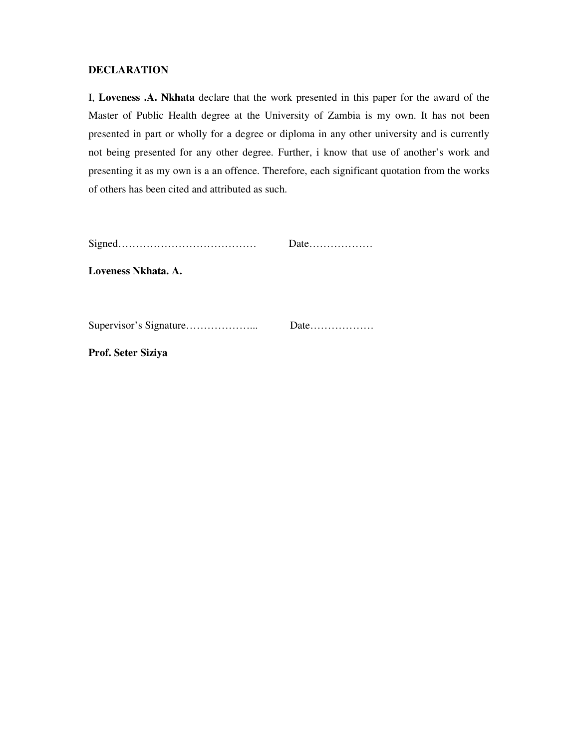#### **DECLARATION**

I, **Loveness .A. Nkhata** declare that the work presented in this paper for the award of the Master of Public Health degree at the University of Zambia is my own. It has not been presented in part or wholly for a degree or diploma in any other university and is currently not being presented for any other degree. Further, i know that use of another's work and presenting it as my own is a an offence. Therefore, each significant quotation from the works of others has been cited and attributed as such.

| Date |
|------|
|      |

**Loveness Nkhata. A.** 

| Date |
|------|
|      |

**Prof. Seter Siziya**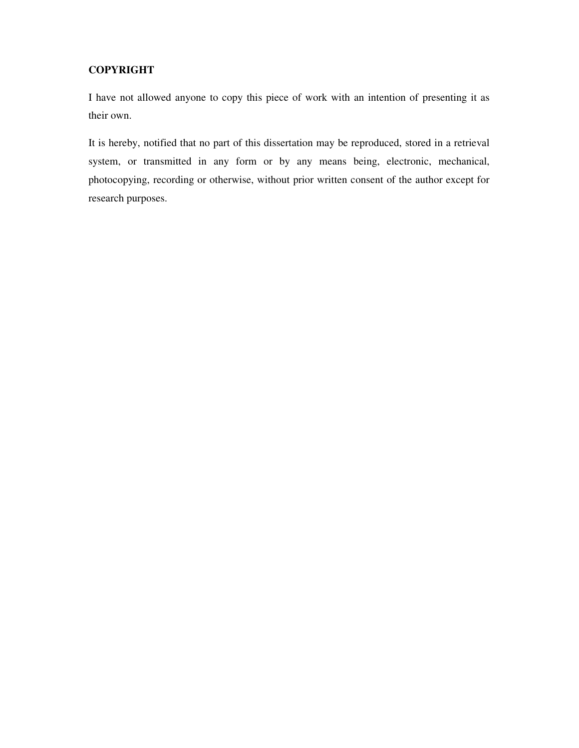### **COPYRIGHT**

I have not allowed anyone to copy this piece of work with an intention of presenting it as their own.

It is hereby, notified that no part of this dissertation may be reproduced, stored in a retrieval system, or transmitted in any form or by any means being, electronic, mechanical, photocopying, recording or otherwise, without prior written consent of the author except for research purposes.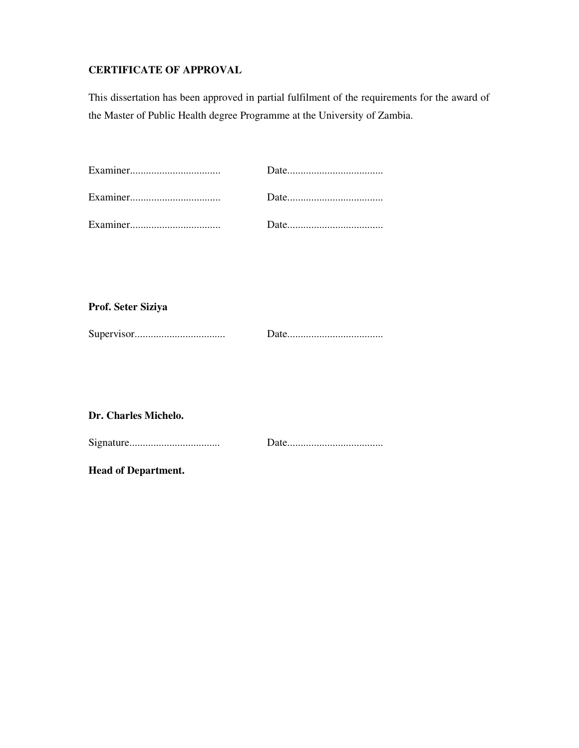## **CERTIFICATE OF APPROVAL**

This dissertation has been approved in partial fulfilment of the requirements for the award of the Master of Public Health degree Programme at the University of Zambia.

**Prof. Seter Siziya** 

|--|--|

## **Dr. Charles Michelo.**

**Head of Department.**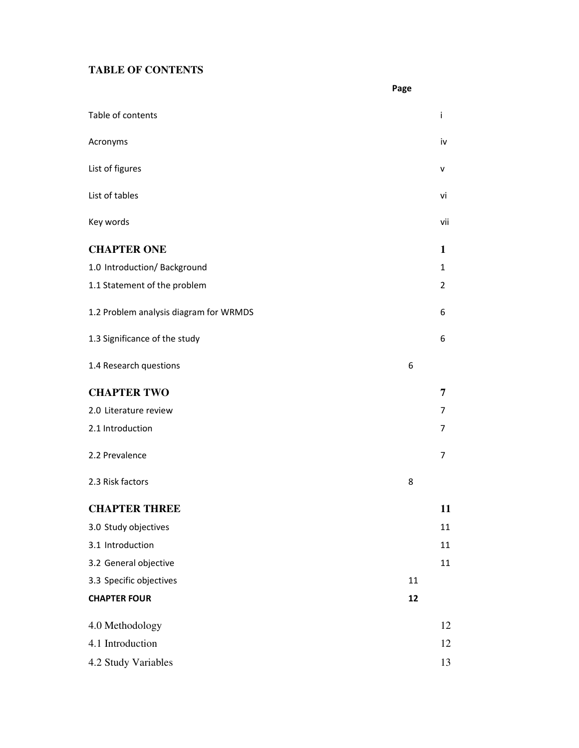## **TABLE OF CONTENTS**

|                                        | Page         |    |
|----------------------------------------|--------------|----|
| Table of contents                      | Ť            |    |
| Acronyms                               | iv           |    |
| List of figures                        | v            |    |
| List of tables                         | vi           |    |
| Key words                              | vii          |    |
| <b>CHAPTER ONE</b>                     | 1            |    |
| 1.0 Introduction/Background            | $\mathbf{1}$ |    |
| 1.1 Statement of the problem           | 2            |    |
| 1.2 Problem analysis diagram for WRMDS | 6            |    |
| 1.3 Significance of the study          | 6            |    |
| 1.4 Research questions                 | 6            |    |
| <b>CHAPTER TWO</b>                     | 7            |    |
| 2.0 Literature review                  | 7            |    |
| 2.1 Introduction                       | 7            |    |
| 2.2 Prevalence                         | 7            |    |
| 2.3 Risk factors                       | 8            |    |
| <b>CHAPTER THREE</b>                   |              | 11 |
| 3.0 Study objectives                   | 11           |    |
| 3.1 Introduction                       |              | 11 |
| 3.2 General objective                  |              | 11 |
| 3.3 Specific objectives                | 11           |    |
| <b>CHAPTER FOUR</b>                    | 12           |    |
| 4.0 Methodology                        |              | 12 |
| 4.1 Introduction                       |              | 12 |
| 4.2 Study Variables                    |              | 13 |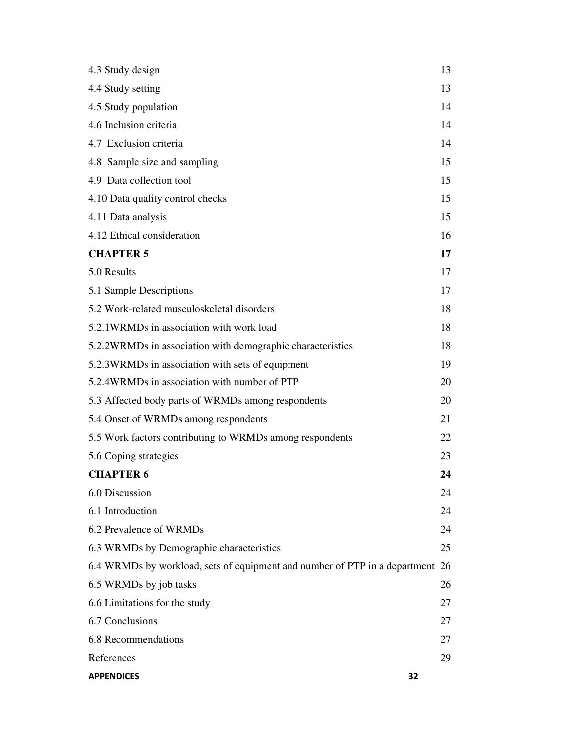| 4.3 Study design                                                              | 13 |
|-------------------------------------------------------------------------------|----|
| 4.4 Study setting                                                             | 13 |
| 4.5 Study population                                                          | 14 |
| 4.6 Inclusion criteria                                                        | 14 |
| 4.7 Exclusion criteria                                                        | 14 |
| 4.8 Sample size and sampling                                                  | 15 |
| 4.9 Data collection tool                                                      | 15 |
| 4.10 Data quality control checks                                              | 15 |
| 4.11 Data analysis                                                            | 15 |
| 4.12 Ethical consideration                                                    | 16 |
| <b>CHAPTER 5</b>                                                              | 17 |
| 5.0 Results                                                                   | 17 |
| 5.1 Sample Descriptions                                                       | 17 |
| 5.2 Work-related musculoskeletal disorders                                    | 18 |
| 5.2.1WRMDs in association with work load                                      | 18 |
| 5.2.2WRMDs in association with demographic characteristics                    | 18 |
| 5.2.3WRMDs in association with sets of equipment                              | 19 |
| 5.2.4WRMDs in association with number of PTP                                  | 20 |
| 5.3 Affected body parts of WRMDs among respondents                            | 20 |
| 5.4 Onset of WRMDs among respondents                                          | 21 |
| 5.5 Work factors contributing to WRMDs among respondents                      | 22 |
| 5.6 Coping strategies                                                         | 23 |
| <b>CHAPTER 6</b>                                                              | 24 |
| 6.0 Discussion                                                                | 24 |
| 6.1 Introduction                                                              | 24 |
| 6.2 Prevalence of WRMDs                                                       | 24 |
| 6.3 WRMDs by Demographic characteristics                                      | 25 |
| 6.4 WRMDs by workload, sets of equipment and number of PTP in a department 26 |    |
| 6.5 WRMDs by job tasks                                                        | 26 |
| 6.6 Limitations for the study                                                 | 27 |
| 6.7 Conclusions                                                               | 27 |
| 6.8 Recommendations                                                           | 27 |
| References                                                                    | 29 |
| <b>APPENDICES</b><br>32                                                       |    |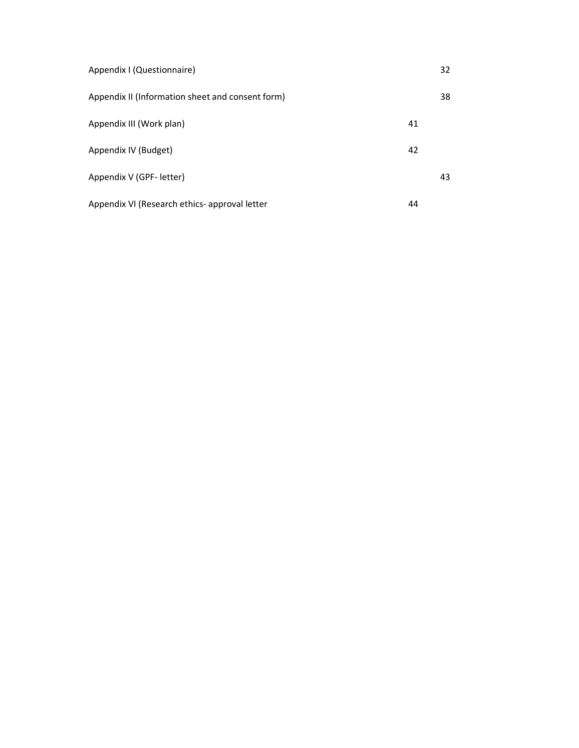| Appendix I (Questionnaire)                       |    | 32 |
|--------------------------------------------------|----|----|
| Appendix II (Information sheet and consent form) |    | 38 |
| Appendix III (Work plan)                         | 41 |    |
| Appendix IV (Budget)                             | 42 |    |
| Appendix V (GPF- letter)                         |    | 43 |
| Appendix VI (Research ethics- approval letter    | 44 |    |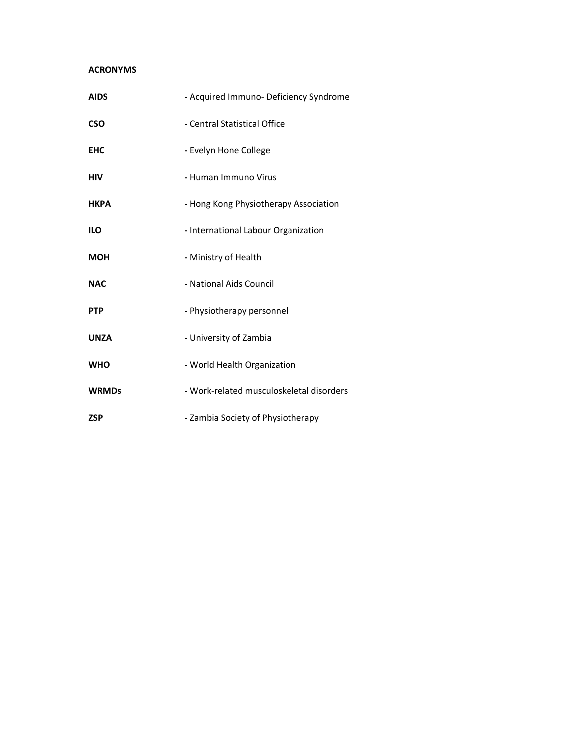#### ACRONYMS

| <b>AIDS</b>  | - Acquired Immuno- Deficiency Syndrome   |
|--------------|------------------------------------------|
| <b>CSO</b>   | - Central Statistical Office             |
| <b>EHC</b>   | - Evelyn Hone College                    |
| <b>HIV</b>   | - Human Immuno Virus                     |
| <b>HKPA</b>  | - Hong Kong Physiotherapy Association    |
| <b>ILO</b>   | - International Labour Organization      |
| <b>MOH</b>   | - Ministry of Health                     |
| <b>NAC</b>   | - National Aids Council                  |
| <b>PTP</b>   | - Physiotherapy personnel                |
| <b>UNZA</b>  | - University of Zambia                   |
| <b>WHO</b>   | - World Health Organization              |
| <b>WRMDs</b> | - Work-related musculoskeletal disorders |
| <b>ZSP</b>   | - Zambia Society of Physiotherapy        |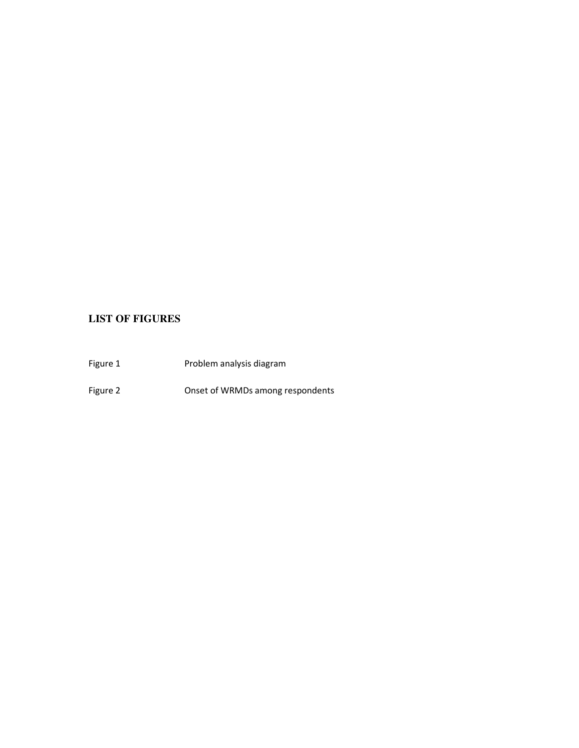## **LIST OF FIGURES**

Figure 1 **Problem analysis diagram** Figure 2 **CONSET CONSET ON CONSET OF VRMDs** among respondents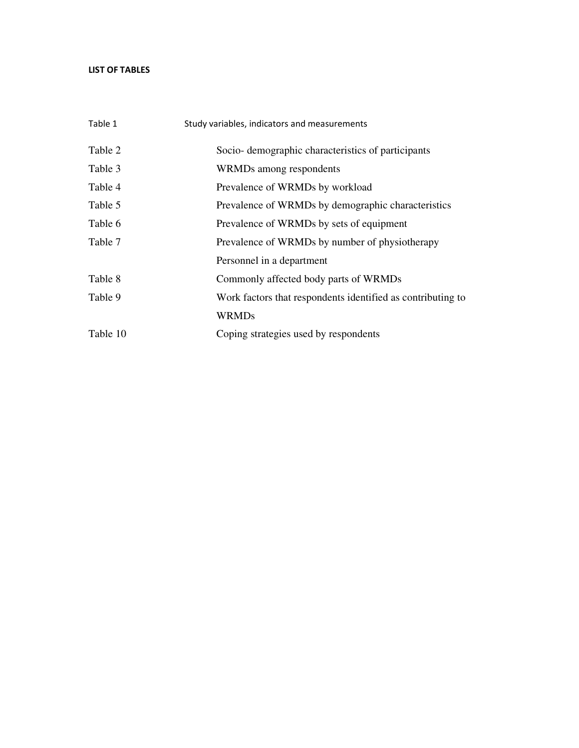#### LIST OF TABLES

| Table 1  | Study variables, indicators and measurements                |
|----------|-------------------------------------------------------------|
| Table 2  | Socio-demographic characteristics of participants           |
| Table 3  | WRMDs among respondents                                     |
| Table 4  | Prevalence of WRMDs by workload                             |
| Table 5  | Prevalence of WRMDs by demographic characteristics          |
| Table 6  | Prevalence of WRMDs by sets of equipment                    |
| Table 7  | Prevalence of WRMDs by number of physiotherapy              |
|          | Personnel in a department                                   |
| Table 8  | Commonly affected body parts of WRMDs                       |
| Table 9  | Work factors that respondents identified as contributing to |
|          | <b>WRMDs</b>                                                |
| Table 10 | Coping strategies used by respondents                       |